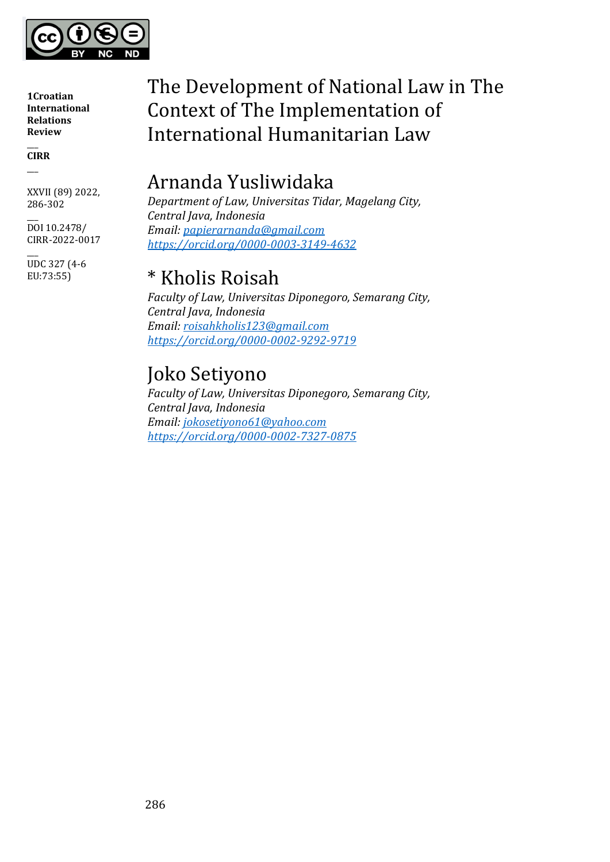

 $\overline{\phantom{a}}$ **CIRR**  $\overline{\phantom{a}}$ 

XXVII (89) 2022, 286-302

 $\overline{\phantom{a}}$ DOI 10.2478/ CIRR-2022-0017

 $\overline{\phantom{a}}$ UDC 327 (4-6 EU:73:55)

# The Development of National Law in The Context of The Implementation of International Humanitarian Law

# Arnanda Yusliwidaka

*Department of Law, Universitas Tidar, Magelang City, Central Java, Indonesia Email: [papierarnanda@gmail.com](mailto:papierarnanda@gmail.com) <https://orcid.org/0000-0003-3149-4632>*

# \* Kholis Roisah

*Faculty of Law, Universitas Diponegoro, Semarang City, Central Java, Indonesia Email: [roisahkholis123@gmail.com](mailto:roisahkholis123@gmail.com) <https://orcid.org/0000-0002-9292-9719>*

# Joko Setiyono

*Faculty of Law, Universitas Diponegoro, Semarang City, Central Java, Indonesia Email: [jokosetiyono61@yahoo.com](mailto:jokosetiyono61@yahoo.com) <https://orcid.org/0000-0002-7327-0875>*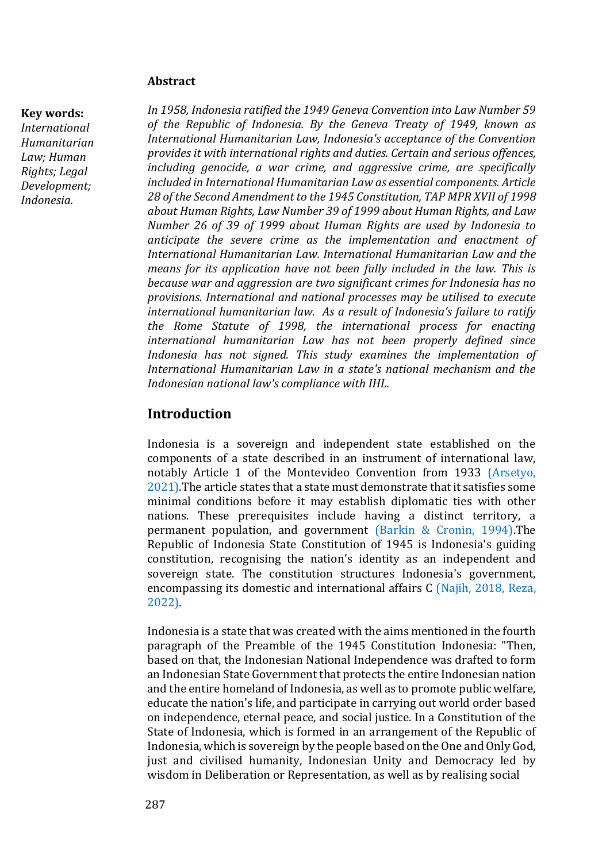#### **Abstract**

#### **Key words:**

*International Humanitarian Law; Human Rights; Legal Development; Indonesia.*

*In 1958, Indonesia ratified the 1949 Geneva Convention into Law Number 59 of the Republic of Indonesia. By the Geneva Treaty of 1949, known as International Humanitarian Law, Indonesia's acceptance of the Convention provides it with international rights and duties. Certain and serious offences, including genocide, a war crime, and aggressive crime, are specifically included in International Humanitarian Law as essential components. Article 28 of the Second Amendment to the 1945 Constitution, TAP MPR XVII of 1998 about Human Rights, Law Number 39 of 1999 about Human Rights, and Law Number 26 of 39 of 1999 about Human Rights are used by Indonesia to anticipate the severe crime as the implementation and enactment of International Humanitarian Law. International Humanitarian Law and the means for its application have not been fully included in the law. This is because war and aggression are two significant crimes for Indonesia has no provisions. International and national processes may be utilised to execute international humanitarian law. As a result of Indonesia's failure to ratify the Rome Statute of 1998, the international process for enacting international humanitarian Law has not been properly defined since Indonesia has not signed. This study examines the implementation of International Humanitarian Law in a state's national mechanism and the Indonesian national law's compliance with IHL.*

## **Introduction**

Indonesia is a sovereign and independent state established on the components of a state described in an instrument of international law, notably Article 1 of the Montevideo Convention from 1933 (Arsetyo, 2021).The article states that a state must demonstrate that it satisfies some minimal conditions before it may establish diplomatic ties with other nations. These prerequisites include having a distinct territory, a permanent population, and government (Barkin & Cronin, 1994).The Republic of Indonesia State Constitution of 1945 is Indonesia's guiding constitution, recognising the nation's identity as an independent and sovereign state. The constitution structures Indonesia's government, encompassing its domestic and international affairs C (Najih, 2018, Reza, 2022).

Indonesia is a state that was created with the aims mentioned in the fourth paragraph of the Preamble of the 1945 Constitution Indonesia: "Then, based on that, the Indonesian National Independence was drafted to form an Indonesian State Government that protects the entire Indonesian nation and the entire homeland of Indonesia, as well as to promote public welfare, educate the nation's life, and participate in carrying out world order based on independence, eternal peace, and social justice. In a Constitution of the State of Indonesia, which is formed in an arrangement of the Republic of Indonesia, which is sovereign by the people based on the One and Only God, just and civilised humanity, Indonesian Unity and Democracy led by wisdom in Deliberation or Representation, as well as by realising social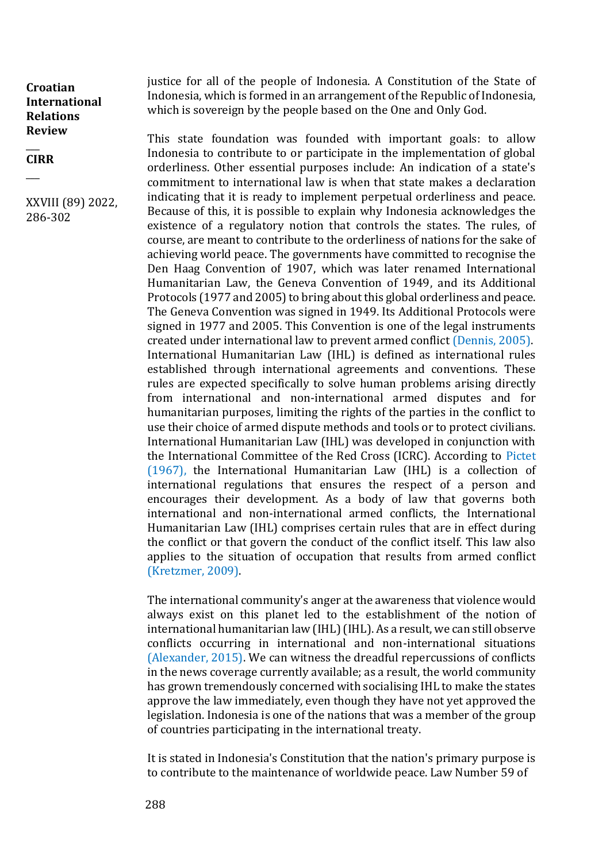$\overline{\phantom{a}}$ **CIRR**

 $\overline{\phantom{a}}$ 

XXVIII (89) 2022, 286-302

justice for all of the people of Indonesia. A Constitution of the State of Indonesia, which is formed in an arrangement of the Republic of Indonesia, which is sovereign by the people based on the One and Only God.

This state foundation was founded with important goals: to allow Indonesia to contribute to or participate in the implementation of global orderliness. Other essential purposes include: An indication of a state's commitment to international law is when that state makes a declaration indicating that it is ready to implement perpetual orderliness and peace. Because of this, it is possible to explain why Indonesia acknowledges the existence of a regulatory notion that controls the states. The rules, of course, are meant to contribute to the orderliness of nations for the sake of achieving world peace. The governments have committed to recognise the Den Haag Convention of 1907, which was later renamed International Humanitarian Law, the Geneva Convention of 1949, and its Additional Protocols (1977 and 2005) to bring about this global orderliness and peace. The Geneva Convention was signed in 1949. Its Additional Protocols were signed in 1977 and 2005. This Convention is one of the legal instruments created under international law to prevent armed conflict (Dennis, 2005). International Humanitarian Law (IHL) is defined as international rules established through international agreements and conventions. These rules are expected specifically to solve human problems arising directly from international and non-international armed disputes and for humanitarian purposes, limiting the rights of the parties in the conflict to use their choice of armed dispute methods and tools or to protect civilians. International Humanitarian Law (IHL) was developed in conjunction with the International Committee of the Red Cross (ICRC). According to Pictet (1967), the International Humanitarian Law (IHL) is a collection of international regulations that ensures the respect of a person and encourages their development. As a body of law that governs both international and non-international armed conflicts, the International Humanitarian Law (IHL) comprises certain rules that are in effect during the conflict or that govern the conduct of the conflict itself. This law also applies to the situation of occupation that results from armed conflict (Kretzmer, 2009).

The international community's anger at the awareness that violence would always exist on this planet led to the establishment of the notion of international humanitarian law (IHL) (IHL). As a result, we can still observe conflicts occurring in international and non-international situations (Alexander, 2015). We can witness the dreadful repercussions of conflicts in the news coverage currently available; as a result, the world community has grown tremendously concerned with socialising IHL to make the states approve the law immediately, even though they have not yet approved the legislation. Indonesia is one of the nations that was a member of the group of countries participating in the international treaty.

It is stated in Indonesia's Constitution that the nation's primary purpose is to contribute to the maintenance of worldwide peace. Law Number 59 of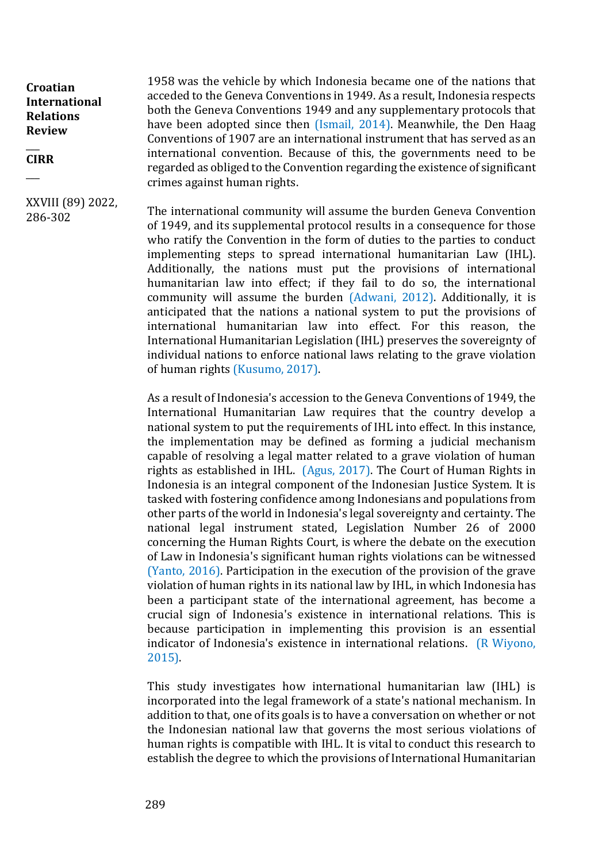#### $\overline{\phantom{a}}$ **CIRR**

 $\overline{\phantom{a}}$ 

XXVIII (89) 2022, 286-302

1958 was the vehicle by which Indonesia became one of the nations that acceded to the Geneva Conventions in 1949. As a result, Indonesia respects both the Geneva Conventions 1949 and any supplementary protocols that have been adopted since then (Ismail, 2014). Meanwhile, the Den Haag Conventions of 1907 are an international instrument that has served as an international convention. Because of this, the governments need to be regarded as obliged to the Convention regarding the existence of significant crimes against human rights.

The international community will assume the burden Geneva Convention of 1949, and its supplemental protocol results in a consequence for those who ratify the Convention in the form of duties to the parties to conduct implementing steps to spread international humanitarian Law (IHL). Additionally, the nations must put the provisions of international humanitarian law into effect; if they fail to do so, the international community will assume the burden (Adwani, 2012). Additionally, it is anticipated that the nations a national system to put the provisions of international humanitarian law into effect. For this reason, the International Humanitarian Legislation (IHL) preserves the sovereignty of individual nations to enforce national laws relating to the grave violation of human rights (Kusumo, 2017).

As a result of Indonesia's accession to the Geneva Conventions of 1949, the International Humanitarian Law requires that the country develop a national system to put the requirements of IHL into effect. In this instance, the implementation may be defined as forming a judicial mechanism capable of resolving a legal matter related to a grave violation of human rights as established in IHL. (Agus, 2017). The Court of Human Rights in Indonesia is an integral component of the Indonesian Justice System. It is tasked with fostering confidence among Indonesians and populations from other parts of the world in Indonesia's legal sovereignty and certainty. The national legal instrument stated, Legislation Number 26 of 2000 concerning the Human Rights Court, is where the debate on the execution of Law in Indonesia's significant human rights violations can be witnessed (Yanto, 2016). Participation in the execution of the provision of the grave violation of human rights in its national law by IHL, in which Indonesia has been a participant state of the international agreement, has become a crucial sign of Indonesia's existence in international relations. This is because participation in implementing this provision is an essential indicator of Indonesia's existence in international relations. (R Wiyono, 2015).

This study investigates how international humanitarian law (IHL) is incorporated into the legal framework of a state's national mechanism. In addition to that, one of its goals is to have a conversation on whether or not the Indonesian national law that governs the most serious violations of human rights is compatible with IHL. It is vital to conduct this research to establish the degree to which the provisions of International Humanitarian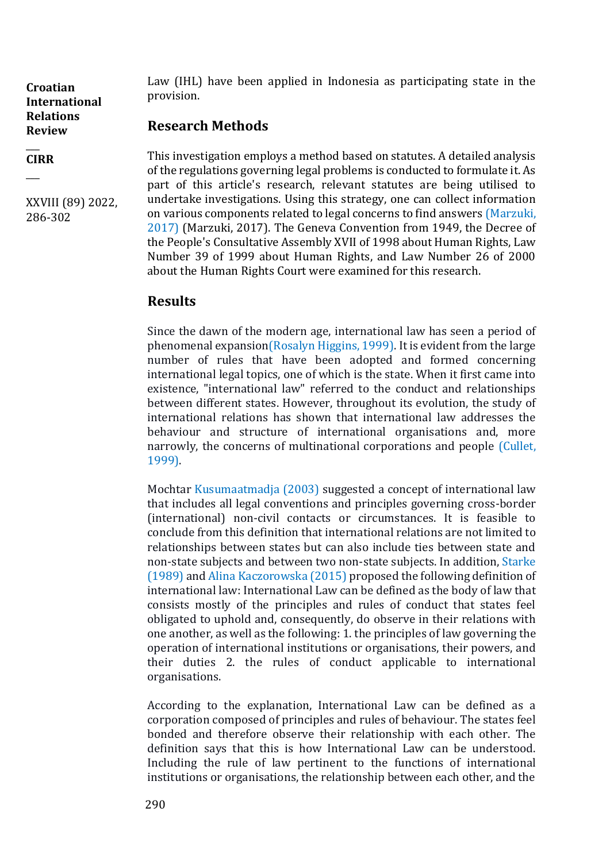#### $\overline{\phantom{a}}$ **CIRR**

 $\overline{\phantom{a}}$ 

XXVIII (89) 2022, 286-302

Law (IHL) have been applied in Indonesia as participating state in the provision.

# **Research Methods**

This investigation employs a method based on statutes. A detailed analysis of the regulations governing legal problems is conducted to formulate it. As part of this article's research, relevant statutes are being utilised to undertake investigations. Using this strategy, one can collect information on various components related to legal concerns to find answers (Marzuki, 2017) (Marzuki, 2017). The Geneva Convention from 1949, the Decree of the People's Consultative Assembly XVII of 1998 about Human Rights, Law Number 39 of 1999 about Human Rights, and Law Number 26 of 2000 about the Human Rights Court were examined for this research.

# **Results**

Since the dawn of the modern age, international law has seen a period of phenomenal expansion(Rosalyn Higgins, 1999). It is evident from the large number of rules that have been adopted and formed concerning international legal topics, one of which is the state. When it first came into existence, "international law" referred to the conduct and relationships between different states. However, throughout its evolution, the study of international relations has shown that international law addresses the behaviour and structure of international organisations and, more narrowly, the concerns of multinational corporations and people (Cullet, 1999).

Mochtar Kusumaatmadja (2003) suggested a concept of international law that includes all legal conventions and principles governing cross-border (international) non-civil contacts or circumstances. It is feasible to conclude from this definition that international relations are not limited to relationships between states but can also include ties between state and non-state subjects and between two non-state subjects. In addition, Starke (1989) and Alina Kaczorowska (2015) proposed the following definition of international law: International Law can be defined as the body of law that consists mostly of the principles and rules of conduct that states feel obligated to uphold and, consequently, do observe in their relations with one another, as well as the following: 1. the principles of law governing the operation of international institutions or organisations, their powers, and their duties 2. the rules of conduct applicable to international organisations.

According to the explanation, International Law can be defined as a corporation composed of principles and rules of behaviour. The states feel bonded and therefore observe their relationship with each other. The definition says that this is how International Law can be understood. Including the rule of law pertinent to the functions of international institutions or organisations, the relationship between each other, and the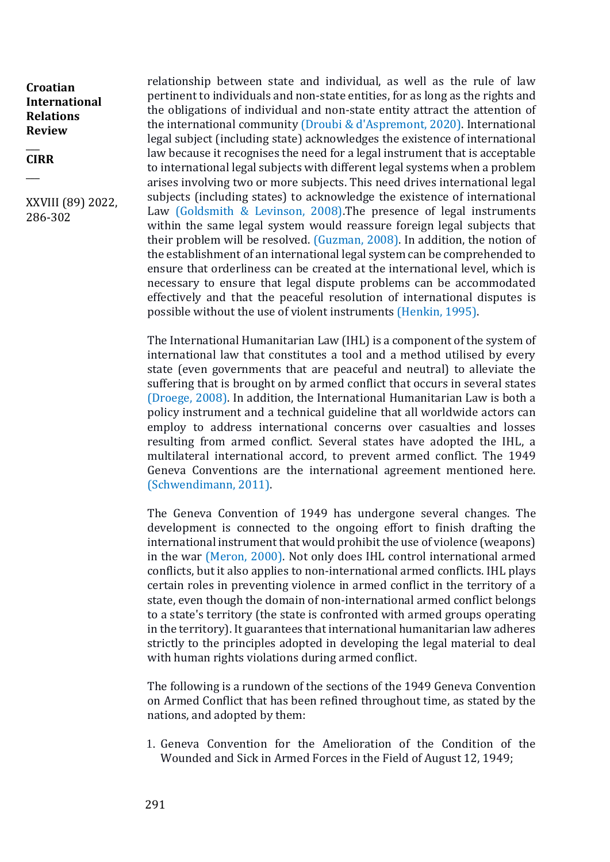#### $\overline{\phantom{a}}$ **CIRR**

 $\overline{\phantom{a}}$ 

XXVIII (89) 2022, 286-302

relationship between state and individual, as well as the rule of law pertinent to individuals and non-state entities, for as long as the rights and the obligations of individual and non-state entity attract the attention of the international community (Droubi & d'Aspremont, 2020). International legal subject (including state) acknowledges the existence of international law because it recognises the need for a legal instrument that is acceptable to international legal subjects with different legal systems when a problem arises involving two or more subjects. This need drives international legal subjects (including states) to acknowledge the existence of international Law (Goldsmith & Levinson, 2008).The presence of legal instruments within the same legal system would reassure foreign legal subjects that their problem will be resolved. (Guzman, 2008). In addition, the notion of the establishment of an international legal system can be comprehended to ensure that orderliness can be created at the international level, which is necessary to ensure that legal dispute problems can be accommodated effectively and that the peaceful resolution of international disputes is possible without the use of violent instruments (Henkin, 1995).

The International Humanitarian Law (IHL) is a component of the system of international law that constitutes a tool and a method utilised by every state (even governments that are peaceful and neutral) to alleviate the suffering that is brought on by armed conflict that occurs in several states (Droege, 2008). In addition, the International Humanitarian Law is both a policy instrument and a technical guideline that all worldwide actors can employ to address international concerns over casualties and losses resulting from armed conflict. Several states have adopted the IHL, a multilateral international accord, to prevent armed conflict. The 1949 Geneva Conventions are the international agreement mentioned here. (Schwendimann, 2011).

The Geneva Convention of 1949 has undergone several changes. The development is connected to the ongoing effort to finish drafting the international instrument that would prohibit the use of violence (weapons) in the war (Meron, 2000). Not only does IHL control international armed conflicts, but it also applies to non-international armed conflicts. IHL plays certain roles in preventing violence in armed conflict in the territory of a state, even though the domain of non-international armed conflict belongs to a state's territory (the state is confronted with armed groups operating in the territory). It guarantees that international humanitarian law adheres strictly to the principles adopted in developing the legal material to deal with human rights violations during armed conflict.

The following is a rundown of the sections of the 1949 Geneva Convention on Armed Conflict that has been refined throughout time, as stated by the nations, and adopted by them:

1. Geneva Convention for the Amelioration of the Condition of the Wounded and Sick in Armed Forces in the Field of August 12, 1949;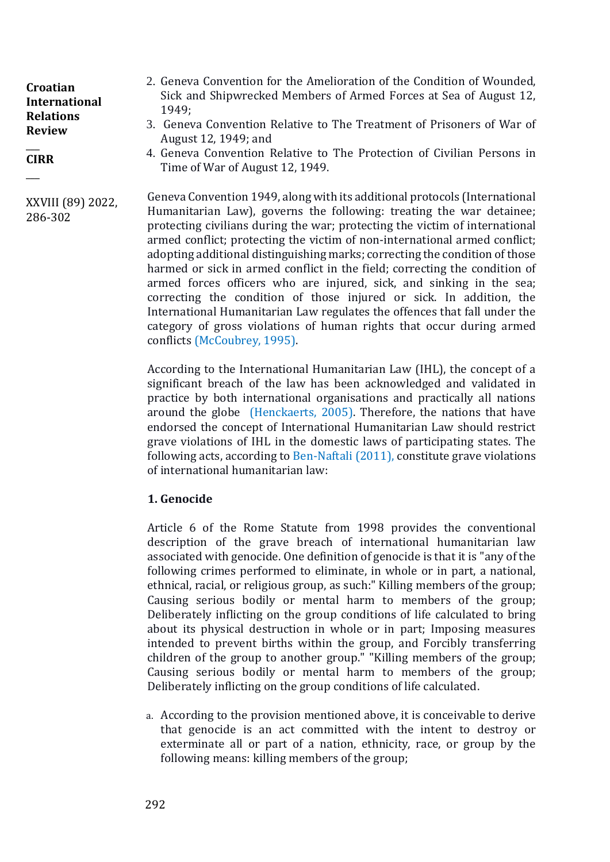#### $\overline{\phantom{a}}$ **CIRR**

 $\overline{\phantom{a}}$ 

XXVIII (89) 2022, 286-302

- 2. Geneva Convention for the Amelioration of the Condition of Wounded, Sick and Shipwrecked Members of Armed Forces at Sea of August 12, 1949;
- 3. Geneva Convention Relative to The Treatment of Prisoners of War of August 12, 1949; and
- 4. Geneva Convention Relative to The Protection of Civilian Persons in Time of War of August 12, 1949.

Geneva Convention 1949, along with its additional protocols (International Humanitarian Law), governs the following: treating the war detainee; protecting civilians during the war; protecting the victim of international armed conflict; protecting the victim of non-international armed conflict; adopting additional distinguishing marks; correcting the condition of those harmed or sick in armed conflict in the field; correcting the condition of armed forces officers who are injured, sick, and sinking in the sea; correcting the condition of those injured or sick. In addition, the International Humanitarian Law regulates the offences that fall under the category of gross violations of human rights that occur during armed conflicts (McCoubrey, 1995).

According to the International Humanitarian Law (IHL), the concept of a significant breach of the law has been acknowledged and validated in practice by both international organisations and practically all nations around the globe (Henckaerts, 2005). Therefore, the nations that have endorsed the concept of International Humanitarian Law should restrict grave violations of IHL in the domestic laws of participating states. The following acts, according to Ben-Naftali (2011), constitute grave violations of international humanitarian law:

## **1. Genocide**

Article 6 of the Rome Statute from 1998 provides the conventional description of the grave breach of international humanitarian law associated with genocide. One definition of genocide is that it is "any of the following crimes performed to eliminate, in whole or in part, a national, ethnical, racial, or religious group, as such:" Killing members of the group; Causing serious bodily or mental harm to members of the group; Deliberately inflicting on the group conditions of life calculated to bring about its physical destruction in whole or in part; Imposing measures intended to prevent births within the group, and Forcibly transferring children of the group to another group." "Killing members of the group; Causing serious bodily or mental harm to members of the group; Deliberately inflicting on the group conditions of life calculated.

a. According to the provision mentioned above, it is conceivable to derive that genocide is an act committed with the intent to destroy or exterminate all or part of a nation, ethnicity, race, or group by the following means: killing members of the group;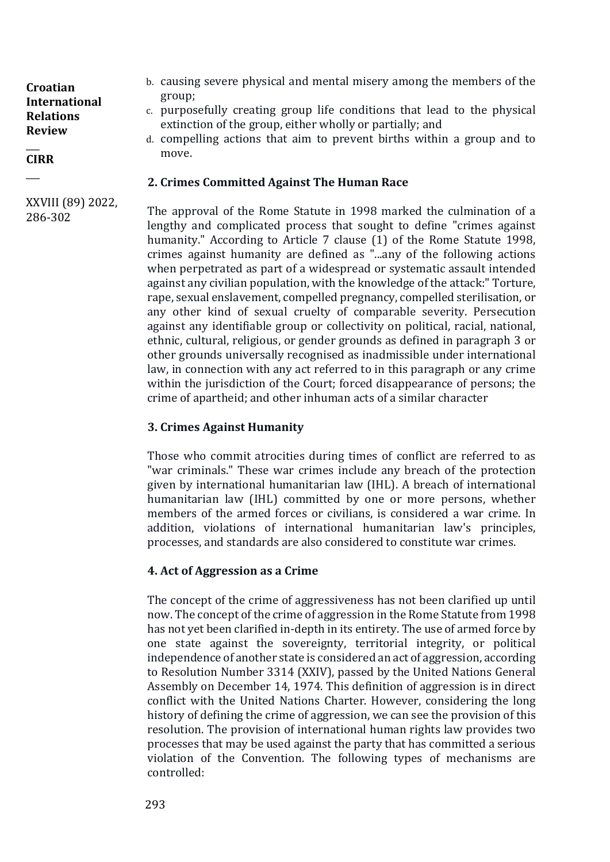#### $\overline{\phantom{a}}$ **CIRR**

 $\overline{\phantom{a}}$ 

XXVIII (89) 2022, 286-302

b. causing severe physical and mental misery among the members of the group;

- c. purposefully creating group life conditions that lead to the physical extinction of the group, either wholly or partially; and
- d. compelling actions that aim to prevent births within a group and to move.

## **2. Crimes Committed Against The Human Race**

The approval of the Rome Statute in 1998 marked the culmination of a lengthy and complicated process that sought to define "crimes against humanity." According to Article 7 clause (1) of the Rome Statute 1998, crimes against humanity are defined as "...any of the following actions when perpetrated as part of a widespread or systematic assault intended against any civilian population, with the knowledge of the attack:" Torture, rape, sexual enslavement, compelled pregnancy, compelled sterilisation, or any other kind of sexual cruelty of comparable severity. Persecution against any identifiable group or collectivity on political, racial, national, ethnic, cultural, religious, or gender grounds as defined in paragraph 3 or other grounds universally recognised as inadmissible under international law, in connection with any act referred to in this paragraph or any crime within the jurisdiction of the Court; forced disappearance of persons; the crime of apartheid; and other inhuman acts of a similar character

## **3. Crimes Against Humanity**

Those who commit atrocities during times of conflict are referred to as "war criminals." These war crimes include any breach of the protection given by international humanitarian law (IHL). A breach of international humanitarian law (IHL) committed by one or more persons, whether members of the armed forces or civilians, is considered a war crime. In addition, violations of international humanitarian law's principles, processes, and standards are also considered to constitute war crimes.

## **4. Act of Aggression as a Crime**

The concept of the crime of aggressiveness has not been clarified up until now. The concept of the crime of aggression in the Rome Statute from 1998 has not yet been clarified in-depth in its entirety. The use of armed force by one state against the sovereignty, territorial integrity, or political independence of another state is considered an act of aggression, according to Resolution Number 3314 (XXIV), passed by the United Nations General Assembly on December 14, 1974. This definition of aggression is in direct conflict with the United Nations Charter. However, considering the long history of defining the crime of aggression, we can see the provision of this resolution. The provision of international human rights law provides two processes that may be used against the party that has committed a serious violation of the Convention. The following types of mechanisms are controlled: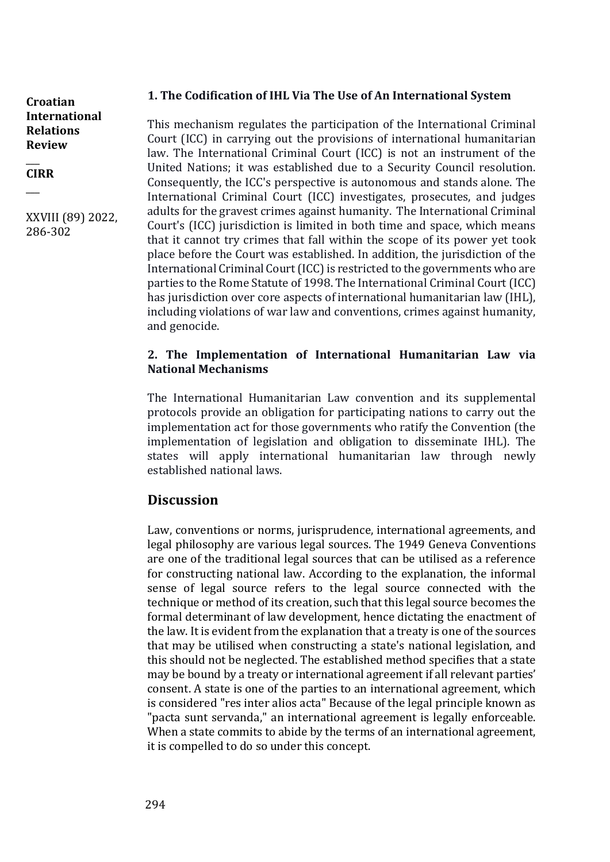## **1. The Codification of IHL Via The Use of An International System**

**Croatian International Relations Review** 

 $\overline{\phantom{a}}$ **CIRR**

 $\overline{\phantom{a}}$ 

XXVIII (89) 2022, 286-302

This mechanism regulates the participation of the International Criminal Court (ICC) in carrying out the provisions of international humanitarian law. The International Criminal Court (ICC) is not an instrument of the United Nations; it was established due to a Security Council resolution. Consequently, the ICC's perspective is autonomous and stands alone. The International Criminal Court (ICC) investigates, prosecutes, and judges adults for the gravest crimes against humanity. The International Criminal Court's (ICC) jurisdiction is limited in both time and space, which means that it cannot try crimes that fall within the scope of its power yet took place before the Court was established. In addition, the jurisdiction of the International Criminal Court (ICC) is restricted to the governments who are parties to the Rome Statute of 1998. The International Criminal Court (ICC) has jurisdiction over core aspects of international humanitarian law (IHL), including violations of war law and conventions, crimes against humanity, and genocide.

## **2. The Implementation of International Humanitarian Law via National Mechanisms**

The International Humanitarian Law convention and its supplemental protocols provide an obligation for participating nations to carry out the implementation act for those governments who ratify the Convention (the implementation of legislation and obligation to disseminate IHL). The states will apply international humanitarian law through newly established national laws.

# **Discussion**

Law, conventions or norms, jurisprudence, international agreements, and legal philosophy are various legal sources. The 1949 Geneva Conventions are one of the traditional legal sources that can be utilised as a reference for constructing national law. According to the explanation, the informal sense of legal source refers to the legal source connected with the technique or method of its creation, such that this legal source becomes the formal determinant of law development, hence dictating the enactment of the law. It is evident from the explanation that a treaty is one of the sources that may be utilised when constructing a state's national legislation, and this should not be neglected. The established method specifies that a state may be bound by a treaty or international agreement if all relevant parties' consent. A state is one of the parties to an international agreement, which is considered "res inter alios acta" Because of the legal principle known as "pacta sunt servanda," an international agreement is legally enforceable. When a state commits to abide by the terms of an international agreement, it is compelled to do so under this concept.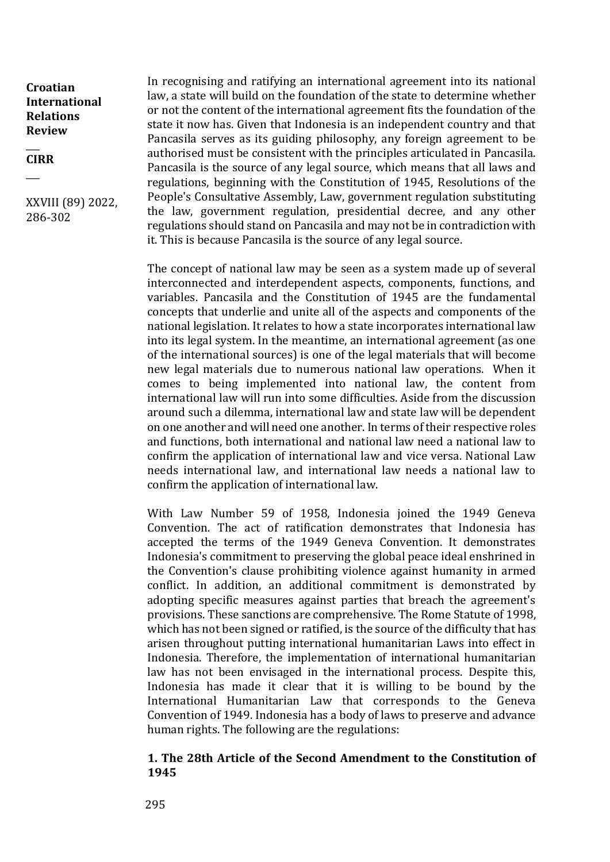#### $\overline{\phantom{a}}$ **CIRR**

 $\overline{\phantom{a}}$ 

XXVIII (89) 2022, 286-302

In recognising and ratifying an international agreement into its national law, a state will build on the foundation of the state to determine whether or not the content of the international agreement fits the foundation of the state it now has. Given that Indonesia is an independent country and that Pancasila serves as its guiding philosophy, any foreign agreement to be authorised must be consistent with the principles articulated in Pancasila. Pancasila is the source of any legal source, which means that all laws and regulations, beginning with the Constitution of 1945, Resolutions of the People's Consultative Assembly, Law, government regulation substituting the law, government regulation, presidential decree, and any other regulations should stand on Pancasila and may not be in contradiction with it. This is because Pancasila is the source of any legal source.

The concept of national law may be seen as a system made up of several interconnected and interdependent aspects, components, functions, and variables. Pancasila and the Constitution of 1945 are the fundamental concepts that underlie and unite all of the aspects and components of the national legislation. It relates to how a state incorporates international law into its legal system. In the meantime, an international agreement (as one of the international sources) is one of the legal materials that will become new legal materials due to numerous national law operations. When it comes to being implemented into national law, the content from international law will run into some difficulties. Aside from the discussion around such a dilemma, international law and state law will be dependent on one another and will need one another. In terms of their respective roles and functions, both international and national law need a national law to confirm the application of international law and vice versa. National Law needs international law, and international law needs a national law to confirm the application of international law.

With Law Number 59 of 1958, Indonesia joined the 1949 Geneva Convention. The act of ratification demonstrates that Indonesia has accepted the terms of the 1949 Geneva Convention. It demonstrates Indonesia's commitment to preserving the global peace ideal enshrined in the Convention's clause prohibiting violence against humanity in armed conflict. In addition, an additional commitment is demonstrated by adopting specific measures against parties that breach the agreement's provisions. These sanctions are comprehensive. The Rome Statute of 1998, which has not been signed or ratified, is the source of the difficulty that has arisen throughout putting international humanitarian Laws into effect in Indonesia. Therefore, the implementation of international humanitarian law has not been envisaged in the international process. Despite this, Indonesia has made it clear that it is willing to be bound by the International Humanitarian Law that corresponds to the Geneva Convention of 1949. Indonesia has a body of laws to preserve and advance human rights. The following are the regulations:

## **1. The 28th Article of the Second Amendment to the Constitution of 1945**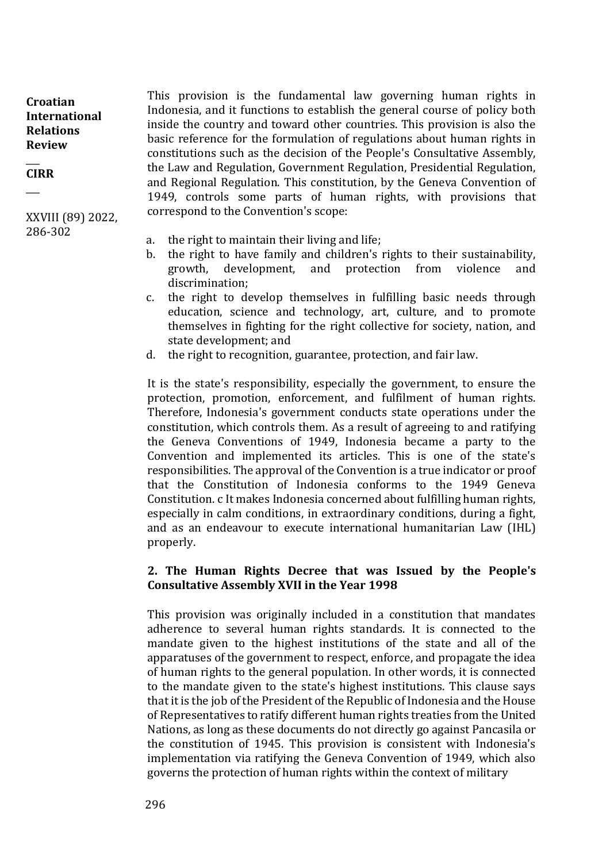$\overline{\phantom{a}}$ **CIRR**

 $\overline{\phantom{a}}$ 

XXVIII (89) 2022, 286-302

- This provision is the fundamental law governing human rights in Indonesia, and it functions to establish the general course of policy both inside the country and toward other countries. This provision is also the basic reference for the formulation of regulations about human rights in constitutions such as the decision of the People's Consultative Assembly, the Law and Regulation, Government Regulation, Presidential Regulation, and Regional Regulation. This constitution, by the Geneva Convention of 1949, controls some parts of human rights, with provisions that correspond to the Convention's scope:
- a. the right to maintain their living and life;
- b. the right to have family and children's rights to their sustainability, growth, development, and protection from violence and discrimination;
- c. the right to develop themselves in fulfilling basic needs through education, science and technology, art, culture, and to promote themselves in fighting for the right collective for society, nation, and state development; and
- d. the right to recognition, guarantee, protection, and fair law.

It is the state's responsibility, especially the government, to ensure the protection, promotion, enforcement, and fulfilment of human rights. Therefore, Indonesia's government conducts state operations under the constitution, which controls them. As a result of agreeing to and ratifying the Geneva Conventions of 1949, Indonesia became a party to the Convention and implemented its articles. This is one of the state's responsibilities. The approval of the Convention is a true indicator or proof that the Constitution of Indonesia conforms to the 1949 Geneva Constitution. c It makes Indonesia concerned about fulfilling human rights, especially in calm conditions, in extraordinary conditions, during a fight, and as an endeavour to execute international humanitarian Law (IHL) properly.

## **2. The Human Rights Decree that was Issued by the People's Consultative Assembly XVII in the Year 1998**

This provision was originally included in a constitution that mandates adherence to several human rights standards. It is connected to the mandate given to the highest institutions of the state and all of the apparatuses of the government to respect, enforce, and propagate the idea of human rights to the general population. In other words, it is connected to the mandate given to the state's highest institutions. This clause says that it is the job of the President of the Republic of Indonesia and the House of Representatives to ratify different human rights treaties from the United Nations, as long as these documents do not directly go against Pancasila or the constitution of 1945. This provision is consistent with Indonesia's implementation via ratifying the Geneva Convention of 1949, which also governs the protection of human rights within the context of military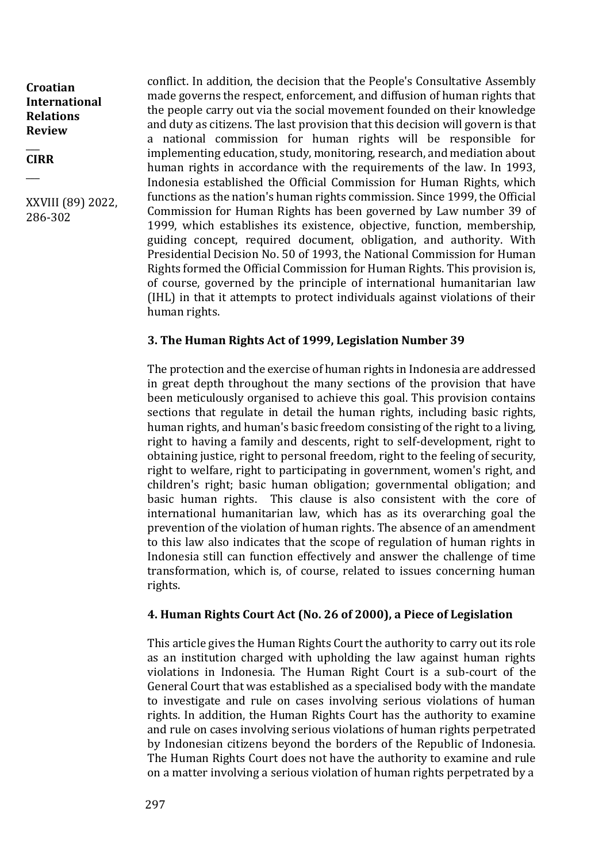#### $\overline{\phantom{a}}$ **CIRR**

 $\overline{\phantom{a}}$ 

XXVIII (89) 2022, 286-302

conflict. In addition, the decision that the People's Consultative Assembly made governs the respect, enforcement, and diffusion of human rights that the people carry out via the social movement founded on their knowledge and duty as citizens. The last provision that this decision will govern is that a national commission for human rights will be responsible for implementing education, study, monitoring, research, and mediation about human rights in accordance with the requirements of the law. In 1993, Indonesia established the Official Commission for Human Rights, which functions as the nation's human rights commission. Since 1999, the Official Commission for Human Rights has been governed by Law number 39 of 1999, which establishes its existence, objective, function, membership, guiding concept, required document, obligation, and authority. With Presidential Decision No. 50 of 1993, the National Commission for Human Rights formed the Official Commission for Human Rights. This provision is, of course, governed by the principle of international humanitarian law (IHL) in that it attempts to protect individuals against violations of their human rights.

## **3. The Human Rights Act of 1999, Legislation Number 39**

The protection and the exercise of human rights in Indonesia are addressed in great depth throughout the many sections of the provision that have been meticulously organised to achieve this goal. This provision contains sections that regulate in detail the human rights, including basic rights, human rights, and human's basic freedom consisting of the right to a living, right to having a family and descents, right to self-development, right to obtaining justice, right to personal freedom, right to the feeling of security, right to welfare, right to participating in government, women's right, and children's right; basic human obligation; governmental obligation; and basic human rights. This clause is also consistent with the core of international humanitarian law, which has as its overarching goal the prevention of the violation of human rights. The absence of an amendment to this law also indicates that the scope of regulation of human rights in Indonesia still can function effectively and answer the challenge of time transformation, which is, of course, related to issues concerning human rights.

## **4. Human Rights Court Act (No. 26 of 2000), a Piece of Legislation**

This article gives the Human Rights Court the authority to carry out its role as an institution charged with upholding the law against human rights violations in Indonesia. The Human Right Court is a sub-court of the General Court that was established as a specialised body with the mandate to investigate and rule on cases involving serious violations of human rights. In addition, the Human Rights Court has the authority to examine and rule on cases involving serious violations of human rights perpetrated by Indonesian citizens beyond the borders of the Republic of Indonesia. The Human Rights Court does not have the authority to examine and rule on a matter involving a serious violation of human rights perpetrated by a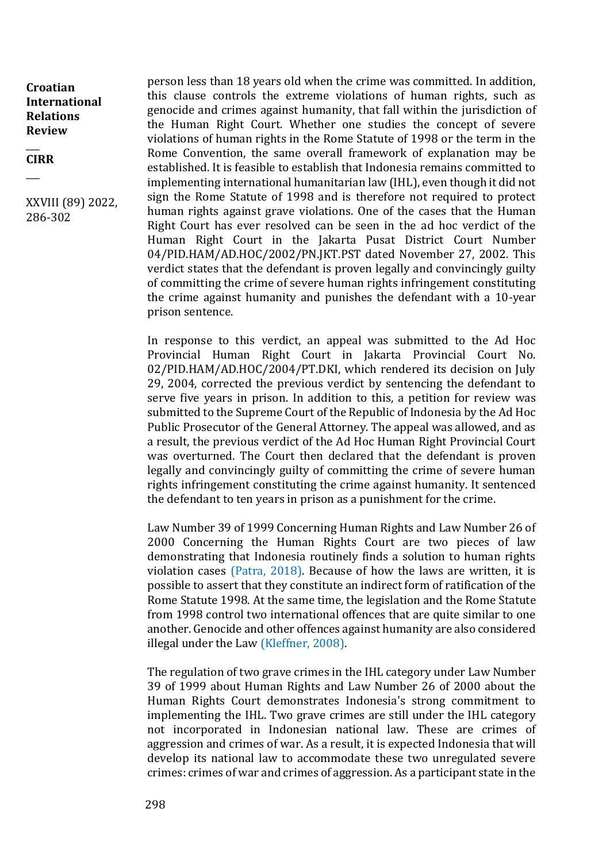$\overline{\phantom{a}}$ **CIRR**

 $\overline{\phantom{a}}$ 

XXVIII (89) 2022, 286-302

person less than 18 years old when the crime was committed. In addition, this clause controls the extreme violations of human rights, such as genocide and crimes against humanity, that fall within the jurisdiction of the Human Right Court. Whether one studies the concept of severe violations of human rights in the Rome Statute of 1998 or the term in the Rome Convention, the same overall framework of explanation may be established. It is feasible to establish that Indonesia remains committed to implementing international humanitarian law (IHL), even though it did not sign the Rome Statute of 1998 and is therefore not required to protect human rights against grave violations. One of the cases that the Human Right Court has ever resolved can be seen in the ad hoc verdict of the Human Right Court in the Jakarta Pusat District Court Number 04/PID.HAM/AD.HOC/2002/PN.JKT.PST dated November 27, 2002. This verdict states that the defendant is proven legally and convincingly guilty of committing the crime of severe human rights infringement constituting the crime against humanity and punishes the defendant with a 10-year prison sentence.

In response to this verdict, an appeal was submitted to the Ad Hoc Provincial Human Right Court in Jakarta Provincial Court No. 02/PID.HAM/AD.HOC/2004/PT.DKI, which rendered its decision on July 29, 2004, corrected the previous verdict by sentencing the defendant to serve five years in prison. In addition to this, a petition for review was submitted to the Supreme Court of the Republic of Indonesia by the Ad Hoc Public Prosecutor of the General Attorney. The appeal was allowed, and as a result, the previous verdict of the Ad Hoc Human Right Provincial Court was overturned. The Court then declared that the defendant is proven legally and convincingly guilty of committing the crime of severe human rights infringement constituting the crime against humanity. It sentenced the defendant to ten years in prison as a punishment for the crime.

Law Number 39 of 1999 Concerning Human Rights and Law Number 26 of 2000 Concerning the Human Rights Court are two pieces of law demonstrating that Indonesia routinely finds a solution to human rights violation cases (Patra, 2018). Because of how the laws are written, it is possible to assert that they constitute an indirect form of ratification of the Rome Statute 1998. At the same time, the legislation and the Rome Statute from 1998 control two international offences that are quite similar to one another. Genocide and other offences against humanity are also considered illegal under the Law (Kleffner, 2008).

The regulation of two grave crimes in the IHL category under Law Number 39 of 1999 about Human Rights and Law Number 26 of 2000 about the Human Rights Court demonstrates Indonesia's strong commitment to implementing the IHL. Two grave crimes are still under the IHL category not incorporated in Indonesian national law. These are crimes of aggression and crimes of war. As a result, it is expected Indonesia that will develop its national law to accommodate these two unregulated severe crimes: crimes of war and crimes of aggression. As a participant state in the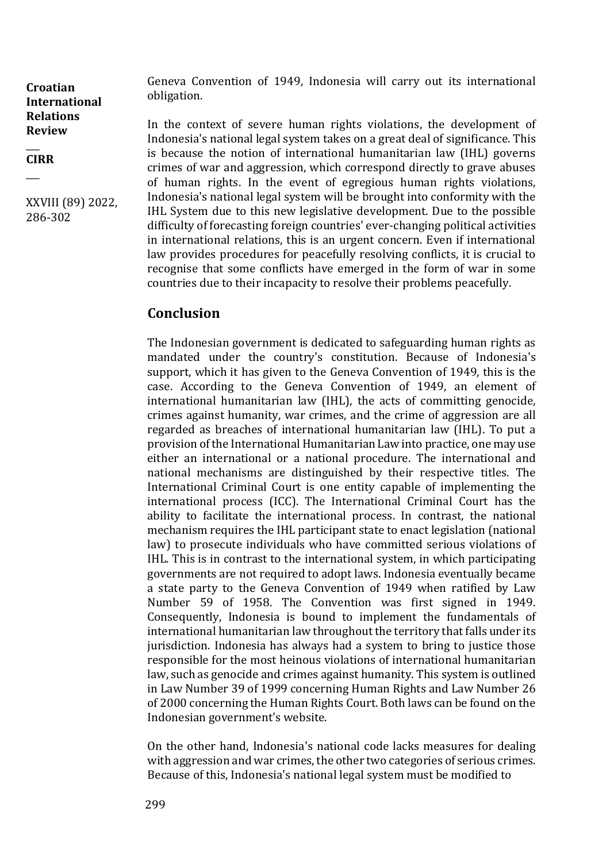$\overline{\phantom{a}}$ **CIRR**

 $\overline{\phantom{a}}$ 

XXVIII (89) 2022, 286-302

Geneva Convention of 1949, Indonesia will carry out its international obligation.

In the context of severe human rights violations, the development of Indonesia's national legal system takes on a great deal of significance. This is because the notion of international humanitarian law (IHL) governs crimes of war and aggression, which correspond directly to grave abuses of human rights. In the event of egregious human rights violations, Indonesia's national legal system will be brought into conformity with the IHL System due to this new legislative development. Due to the possible difficulty of forecasting foreign countries' ever-changing political activities in international relations, this is an urgent concern. Even if international law provides procedures for peacefully resolving conflicts, it is crucial to recognise that some conflicts have emerged in the form of war in some countries due to their incapacity to resolve their problems peacefully.

# **Conclusion**

The Indonesian government is dedicated to safeguarding human rights as mandated under the country's constitution. Because of Indonesia's support, which it has given to the Geneva Convention of 1949, this is the case. According to the Geneva Convention of 1949, an element of international humanitarian law (IHL), the acts of committing genocide, crimes against humanity, war crimes, and the crime of aggression are all regarded as breaches of international humanitarian law (IHL). To put a provision of the International Humanitarian Law into practice, one may use either an international or a national procedure. The international and national mechanisms are distinguished by their respective titles. The International Criminal Court is one entity capable of implementing the international process (ICC). The International Criminal Court has the ability to facilitate the international process. In contrast, the national mechanism requires the IHL participant state to enact legislation (national law) to prosecute individuals who have committed serious violations of IHL. This is in contrast to the international system, in which participating governments are not required to adopt laws. Indonesia eventually became a state party to the Geneva Convention of 1949 when ratified by Law Number 59 of 1958. The Convention was first signed in 1949. Consequently, Indonesia is bound to implement the fundamentals of international humanitarian law throughout the territory that falls under its jurisdiction. Indonesia has always had a system to bring to justice those responsible for the most heinous violations of international humanitarian law, such as genocide and crimes against humanity. This system is outlined in Law Number 39 of 1999 concerning Human Rights and Law Number 26 of 2000 concerning the Human Rights Court. Both laws can be found on the Indonesian government's website.

On the other hand, Indonesia's national code lacks measures for dealing with aggression and war crimes, the other two categories of serious crimes. Because of this, Indonesia's national legal system must be modified to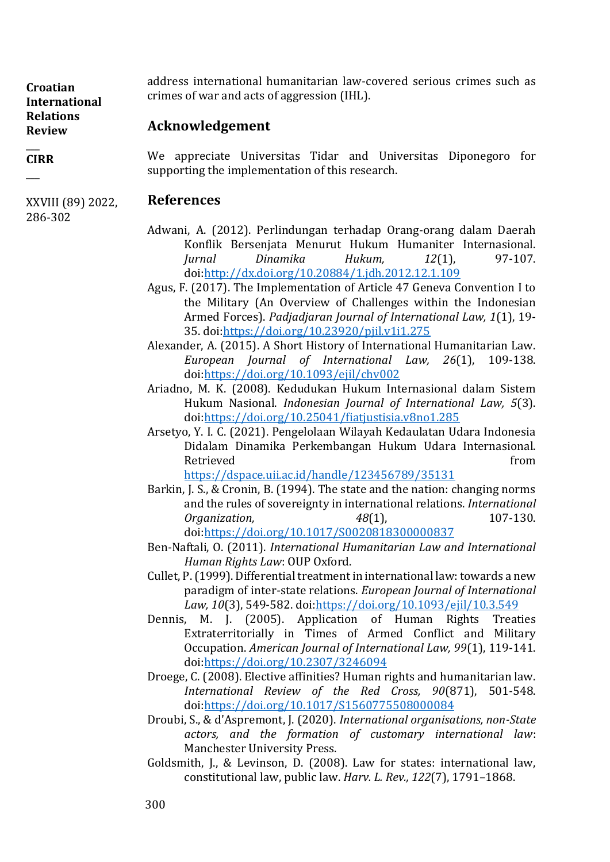#### $\overline{\phantom{a}}$ **CIRR**

 $\overline{\phantom{a}}$ 

address international humanitarian law-covered serious crimes such as crimes of war and acts of aggression (IHL).

## **Acknowledgement**

We appreciate Universitas Tidar and Universitas Diponegoro for supporting the implementation of this research.

## XXVIII (89) 2022,

286-302

## **References**

- Adwani, A. (2012). Perlindungan terhadap Orang-orang dalam Daerah Konflik Bersenjata Menurut Hukum Humaniter Internasional. *Jurnal Dinamika Hukum, 12*(1), 97-107. doi[:http://dx.doi.org/10.20884/1.jdh.2012.12.1.109](http://dx.doi.org/10.20884/1.jdh.2012.12.1.109)
- Agus, F. (2017). The Implementation of Article 47 Geneva Convention I to the Military (An Overview of Challenges within the Indonesian Armed Forces). *Padjadjaran Journal of International Law, 1*(1), 19- 35. doi[:https://doi.org/10.23920/pjil.v1i1.275](https://doi.org/10.23920/pjil.v1i1.275)
- Alexander, A. (2015). A Short History of International Humanitarian Law. *European Journal of International Law, 26*(1), 109-138. doi[:https://doi.org/10.1093/ejil/chv002](https://doi.org/10.1093/ejil/chv002)
- Ariadno, M. K. (2008). Kedudukan Hukum Internasional dalam Sistem Hukum Nasional. *Indonesian Journal of International Law, 5*(3). doi[:https://doi.org/10.25041/fiatjustisia.v8no1.285](https://doi.org/10.25041/fiatjustisia.v8no1.285)
- Arsetyo, Y. I. C. (2021). Pengelolaan Wilayah Kedaulatan Udara Indonesia Didalam Dinamika Perkembangan Hukum Udara Internasional. Retrieved **from** the second state of the second state of the second state of the second state of the second state of the second state of the second state of the second state of the second state of the second state of the s

<https://dspace.uii.ac.id/handle/123456789/35131>

- Barkin, J. S., & Cronin, B. (1994). The state and the nation: changing norms and the rules of sovereignty in international relations. *International Organization,* 48(1), 48(1), 107-130. doi[:https://doi.org/10.1017/S0020818300000837](https://doi.org/10.1017/S0020818300000837)
- Ben-Naftali, O. (2011). *International Humanitarian Law and International Human Rights Law*: OUP Oxford.
- Cullet, P. (1999). Differential treatment in international law: towards a new paradigm of inter-state relations. *European Journal of International Law, 10*(3), 549-582. doi[:https://doi.org/10.1093/ejil/10.3.549](https://doi.org/10.1093/ejil/10.3.549)
- Dennis, M. J. (2005). Application of Human Rights Treaties Extraterritorially in Times of Armed Conflict and Military Occupation. *American Journal of International Law, 99*(1), 119-141. doi[:https://doi.org/10.2307/3246094](https://doi.org/10.2307/3246094)
- Droege, C. (2008). Elective affinities? Human rights and humanitarian law. *International Review of the Red Cross, 90*(871), 501-548. doi[:https://doi.org/10.1017/S1560775508000084](https://doi.org/10.1017/S1560775508000084)
- Droubi, S., & d'Aspremont, J. (2020). *International organisations, non-State actors, and the formation of customary international law*: Manchester University Press.
- Goldsmith, J., & Levinson, D. (2008). Law for states: international law, constitutional law, public law. *Harv. L. Rev., 122*(7), 1791–1868.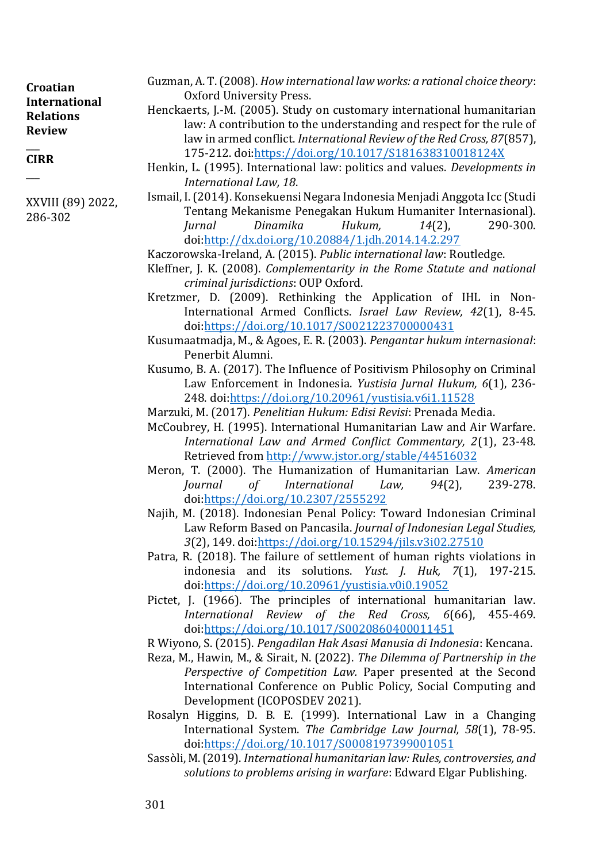| Croatian<br><b>International</b><br><b>Relations</b><br><b>Review</b> | Guzman, A.T. (2008). How international law works: a rational choice theory:                                                                               |
|-----------------------------------------------------------------------|-----------------------------------------------------------------------------------------------------------------------------------------------------------|
|                                                                       | Oxford University Press.                                                                                                                                  |
|                                                                       | Henckaerts, J.-M. (2005). Study on customary international humanitarian                                                                                   |
|                                                                       | law: A contribution to the understanding and respect for the rule of                                                                                      |
|                                                                       | law in armed conflict. International Review of the Red Cross, 87(857),                                                                                    |
| <b>CIRR</b>                                                           | 175-212. doi:https://doi.org/10.1017/S181638310018124X                                                                                                    |
|                                                                       | Henkin, L. (1995). International law: politics and values. Developments in                                                                                |
|                                                                       | International Law, 18.                                                                                                                                    |
| XXVIII (89) 2022,                                                     | Ismail, I. (2014). Konsekuensi Negara Indonesia Menjadi Anggota Icc (Studi<br>$\mathbf{m}$ . Million $\mathbf{n}$ in the $\mathbf{m}$ in the $\mathbf{n}$ |

*criminal jurisdictions*: OUP Oxford.

doi[:https://doi.org/10.2307/2555292](https://doi.org/10.2307/2555292)

Penerbit Alumni.

Tentang Mekanisme Penegakan Hukum Humaniter Internasional). *Jurnal Dinamika Hukum, 14*(2), 290-300.

International Armed Conflicts. *Israel Law Review, 42*(1), 8-45.

Law Enforcement in Indonesia. *Yustisia Jurnal Hukum, 6*(1), 236-

*International Law and Armed Conflict Commentary, 2*(1), 23-48.

*Journal of International Law, 94*(2), 239-278.

Law Reform Based on Pancasila. *Journal of Indonesian Legal Studies,* 

indonesia and its solutions. *Yust. J. Huk, 7*(1), 197-215.

*International Review of the Red Cross, 6*(66), 455-469.

doi[:http://dx.doi.org/10.20884/1.jdh.2014.14.2.297](http://dx.doi.org/10.20884/1.jdh.2014.14.2.297) Kaczorowska-Ireland, A. (2015). *Public international law*: Routledge.

doi[:https://doi.org/10.1017/S0021223700000431](https://doi.org/10.1017/S0021223700000431)

Kleffner, J. K. (2008). *Complementarity in the Rome Statute and national* 

Kretzmer, D. (2009). Rethinking the Application of IHL in Non-

Kusumaatmadja, M., & Agoes, E. R. (2003). *Pengantar hukum internasional*:

Kusumo, B. A. (2017). The Influence of Positivism Philosophy on Criminal

McCoubrey, H. (1995). International Humanitarian Law and Air Warfare.

Najih, M. (2018). Indonesian Penal Policy: Toward Indonesian Criminal

Pictet, J. (1966). The principles of international humanitarian law.

*3*(2), 149. doi[:https://doi.org/10.15294/jils.v3i02.27510](https://doi.org/10.15294/jils.v3i02.27510) Patra, R. (2018). The failure of settlement of human rights violations in

doi[:https://doi.org/10.20961/yustisia.v0i0.19052](https://doi.org/10.20961/yustisia.v0i0.19052)

248. doi[:https://doi.org/10.20961/yustisia.v6i1.11528](https://doi.org/10.20961/yustisia.v6i1.11528) Marzuki, M. (2017). *Penelitian Hukum: Edisi Revisi*: Prenada Media.

Retrieved from<http://www.jstor.org/stable/44516032> Meron, T. (2000). The Humanization of Humanitarian Law. *American* 

286-302

doi[:https://doi.org/10.1017/S0020860400011451](https://doi.org/10.1017/S0020860400011451) R Wiyono, S. (2015). *Pengadilan Hak Asasi Manusia di Indonesia*: Kencana.

- Reza, M., Hawin, M., & Sirait, N. (2022). *The Dilemma of Partnership in the Perspective of Competition Law.* Paper presented at the Second International Conference on Public Policy, Social Computing and Development (ICOPOSDEV 2021).
- Rosalyn Higgins, D. B. E. (1999). International Law in a Changing International System. *The Cambridge Law Journal, 58*(1), 78-95. doi[:https://doi.org/10.1017/S0008197399001051](https://doi.org/10.1017/S0008197399001051)
- Sassòli, M. (2019). *International humanitarian law: Rules, controversies, and solutions to problems arising in warfare*: Edward Elgar Publishing.